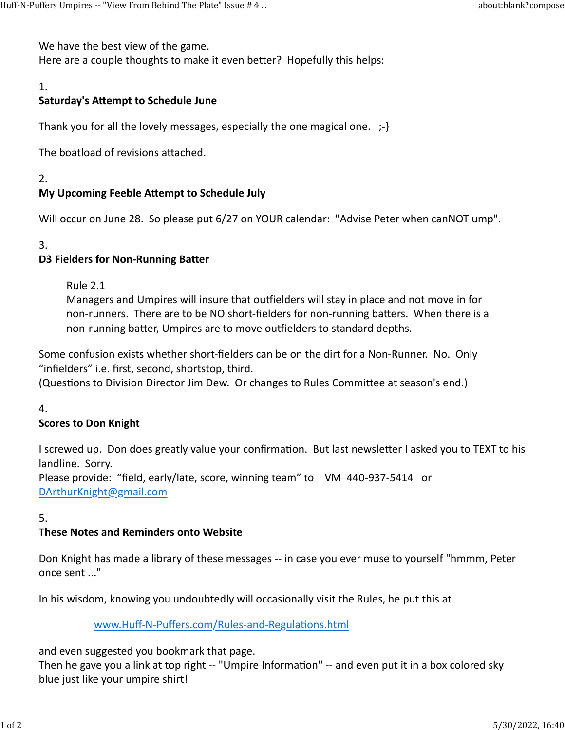We have the best view of the game.

Here are a couple thoughts to make it even better? Hopefully this helps: Huff-N-Puffers Umpires -- "View From Behind The Plate" Issue # 4 ... <br>We have the best view of the game.<br>Here are a couple thoughts to make it even better? Hopefully this helps:

# 1.

## Saturday's Attempt to Schedule June

Thank you for all the lovely messages, especially the one magical one. ;-}

The boatload of revisions attached.

2.

# My Upcoming Feeble Attempt to Schedule July

Will occur on June 28. So please put 6/27 on YOUR calendar: "Advise Peter when canNOT ump".

#### 3.

### D3 Fielders for Non-Running Batter

Rule 2.1

Managers and Umpires will insure that outfielders will stay in place and not move in for non-runners. There are to be NO short-fielders for non-running batters. When there is a non-running batter, Umpires are to move outfielders to standard depths.

Some confusion exists whether short-fielders can be on the dirt for a Non-Runner. No. Only "infielders" i.e. first, second, shortstop, third.

(Questions to Division Director Jim Dew. Or changes to Rules Committee at season's end.)

4.

### Scores to Don Knight

I screwed up. Don does greatly value your confirmation. But last newsletter I asked you to TEXT to his landline. Sorry.

Please provide: "field, early/late, score, winning team" to VM 440-937-5414 or DArthurKnight@gmail.com

#### 5.

### These Notes and Reminders onto Website

Don Knight has made a library of these messages -- in case you ever muse to yourself "hmmm, Peter once sent ..."

In his wisdom, knowing you undoubtedly will occasionally visit the Rules, he put this at

www.Huff-N-Puffers.com/Rules-and-Regulations.html

and even suggested you bookmark that page.

Then he gave you a link at top right -- "Umpire Information" -- and even put it in a box colored sky blue just like your umpire shirt!